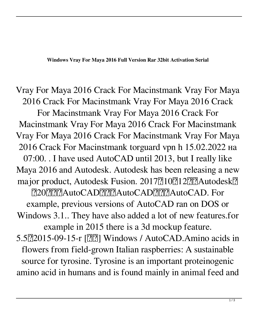**Windows Vray For Maya 2016 Full Version Rar 32bit Activation Serial**

Vray For Maya 2016 Crack For Macinstmank Vray For Maya 2016 Crack For Macinstmank Vray For Maya 2016 Crack For Macinstmank Vray For Maya 2016 Crack For Macinstmank Vray For Maya 2016 Crack For Macinstmank Vray For Maya 2016 Crack For Macinstmank Vray For Maya 2016 Crack For Macinstmank torguard vpn h 15.02.2022 на 07:00. . I have used AutoCAD until 2013, but I really like Maya 2016 and Autodesk. Autodesk has been releasing a new major product, Autodesk Fusion.  $2017$ [?] $10$ [?] $12$ [?][?]Autodesk[?] [720] [7] AutoCAD [7] [7] AutoCAD [7] [7] AutoCAD. For example, previous versions of AutoCAD ran on DOS or Windows 3.1.. They have also added a lot of new features.for example in 2015 there is a 3d mockup feature. 5.5 $2015-09-15-r$  [ $20$ ] Windows / AutoCAD.Amino acids in flowers from field-grown Italian raspberries: A sustainable source for tyrosine. Tyrosine is an important proteinogenic amino acid in humans and is found mainly in animal feed and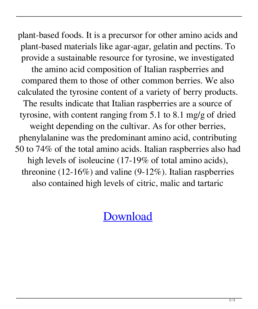plant-based foods. It is a precursor for other amino acids and plant-based materials like agar-agar, gelatin and pectins. To provide a sustainable resource for tyrosine, we investigated the amino acid composition of Italian raspberries and compared them to those of other common berries. We also calculated the tyrosine content of a variety of berry products. The results indicate that Italian raspberries are a source of tyrosine, with content ranging from 5.1 to 8.1 mg/g of dried weight depending on the cultivar. As for other berries, phenylalanine was the predominant amino acid, contributing 50 to 74% of the total amino acids. Italian raspberries also had high levels of isoleucine (17-19% of total amino acids), threonine (12-16%) and valine  $(9-12\%)$ . Italian raspberries also contained high levels of citric, malic and tartaric

[Download](http://evacdir.com/airliners/VnJheSBGb3IgTWF5YSAyMDE2IENyYWNrIEZvciBNYWNpbnN0bWFuawVnJ.collisions.handout.regionals/snappy/ZG93bmxvYWR8Qk8xY3pscGZId3hOalV5TnpRd09EWTJmSHd5TlRjMGZId29UU2tnY21WaFpDMWliRzluSUZ0R1lYTjBJRWRGVGww.davie.surveymonkey)